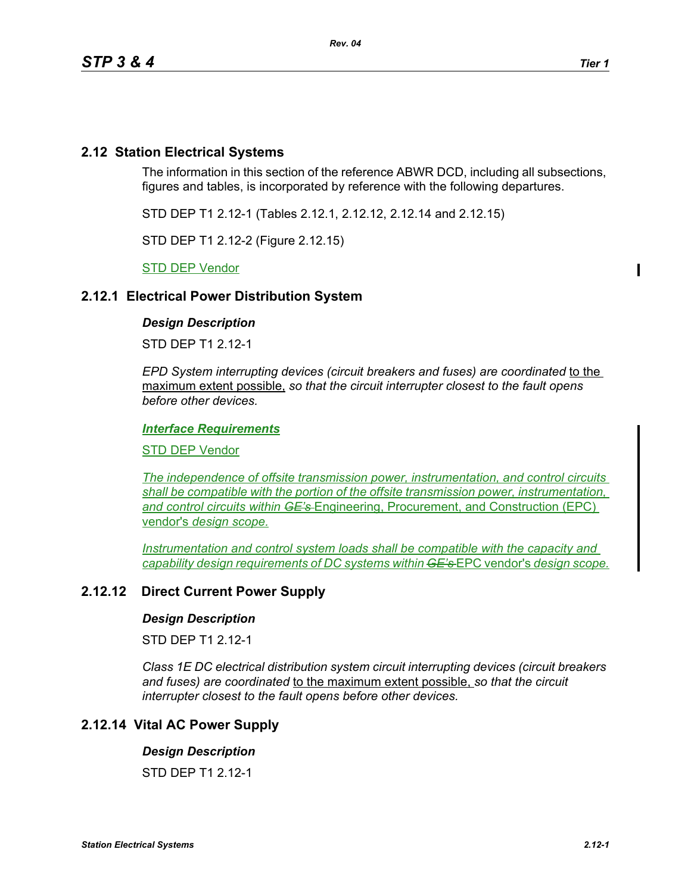# **2.12 Station Electrical Systems**

The information in this section of the reference ABWR DCD, including all subsections, figures and tables, is incorporated by reference with the following departures.

STD DEP T1 2.12-1 (Tables 2.12.1, 2.12.12, 2.12.14 and 2.12.15)

STD DEP T1 2.12-2 (Figure 2.12.15)

STD DEP Vendor

## **2.12.1 Electrical Power Distribution System**

## *Design Description*

STD DEP T1 2.12-1

*EPD System interrupting devices (circuit breakers and fuses) are coordinated* to the maximum extent possible, *so that the circuit interrupter closest to the fault opens before other devices.*

#### *Interface Requirements*

STD DEP Vendor

*The independence of offsite transmission power, instrumentation, and control circuits shall be compatible with the portion of the offsite transmission power, instrumentation, and control circuits within GE's* Engineering, Procurement, and Construction (EPC) vendor's *design scope.*

*Instrumentation and control system loads shall be compatible with the capacity and capability design requirements of DC systems within GE's* EPC vendor's *design scope.*

## **2.12.12 Direct Current Power Supply**

#### *Design Description*

STD DEP T1 2.12-1

*Class 1E DC electrical distribution system circuit interrupting devices (circuit breakers and fuses) are coordinated* to the maximum extent possible, *so that the circuit interrupter closest to the fault opens before other devices.*

## **2.12.14 Vital AC Power Supply**

#### *Design Description*

STD DEP T1 2.12-1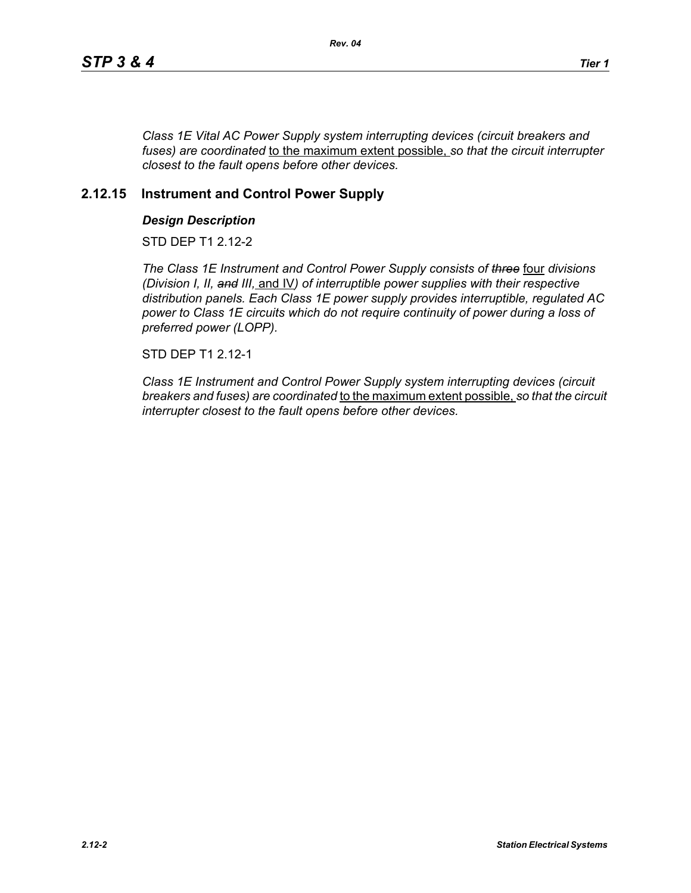*Class 1E Vital AC Power Supply system interrupting devices (circuit breakers and fuses) are coordinated* to the maximum extent possible, *so that the circuit interrupter closest to the fault opens before other devices.*

## **2.12.15 Instrument and Control Power Supply**

### *Design Description*

STD DEP T1 2.12-2

*The Class 1E Instrument and Control Power Supply consists of three* four *divisions (Division I, II, and III,* and IV*) of interruptible power supplies with their respective distribution panels. Each Class 1E power supply provides interruptible, regulated AC power to Class 1E circuits which do not require continuity of power during a loss of preferred power (LOPP).*

STD DEP T1 2.12-1

*Class 1E Instrument and Control Power Supply system interrupting devices (circuit breakers and fuses) are coordinated* to the maximum extent possible, *so that the circuit interrupter closest to the fault opens before other devices.*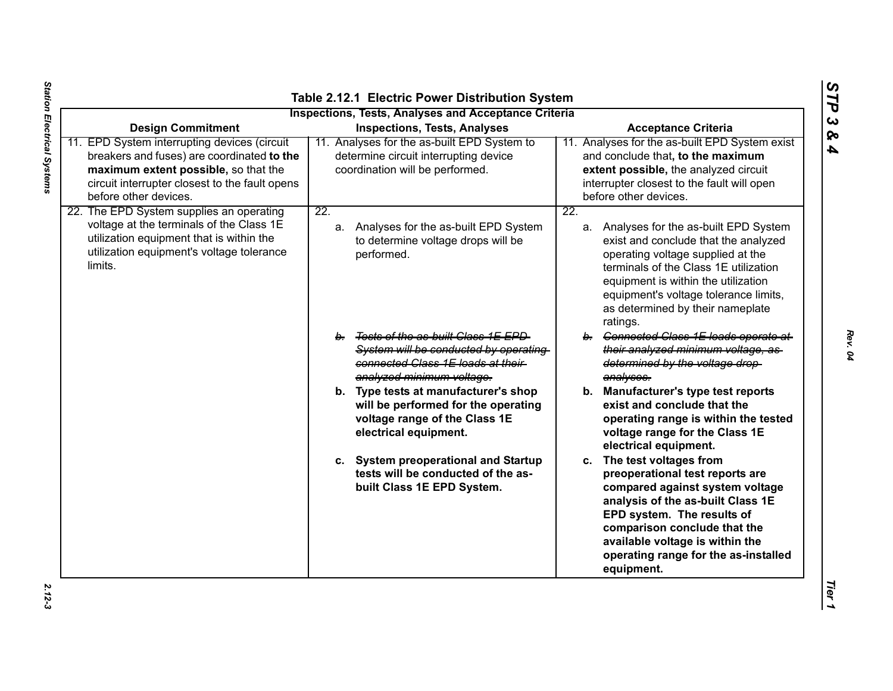| <b>Design Commitment</b>                                                                                                                                                                                      | <b>Inspections, Tests, Analyses and Acceptance Criteria</b><br><b>Inspections, Tests, Analyses</b>                                               | <b>Acceptance Criteria</b>                                                                                                                                                                                                                                                                                         |
|---------------------------------------------------------------------------------------------------------------------------------------------------------------------------------------------------------------|--------------------------------------------------------------------------------------------------------------------------------------------------|--------------------------------------------------------------------------------------------------------------------------------------------------------------------------------------------------------------------------------------------------------------------------------------------------------------------|
| 11. EPD System interrupting devices (circuit<br>breakers and fuses) are coordinated to the<br>maximum extent possible, so that the<br>circuit interrupter closest to the fault opens<br>before other devices. | 11. Analyses for the as-built EPD System to<br>determine circuit interrupting device<br>coordination will be performed.                          | 11. Analyses for the as-built EPD System exist<br>and conclude that, to the maximum<br>extent possible, the analyzed circuit<br>interrupter closest to the fault will open<br>before other devices.                                                                                                                |
| 22. The EPD System supplies an operating<br>voltage at the terminals of the Class 1E<br>utilization equipment that is within the<br>utilization equipment's voltage tolerance<br>limits.                      | $\overline{22}$ .<br>a. Analyses for the as-built EPD System<br>to determine voltage drops will be<br>performed.                                 | $\overline{22}$ .<br>a. Analyses for the as-built EPD System<br>exist and conclude that the analyzed<br>operating voltage supplied at the<br>terminals of the Class 1E utilization<br>equipment is within the utilization<br>equipment's voltage tolerance limits,<br>as determined by their nameplate<br>ratings. |
|                                                                                                                                                                                                               | b. Tests of the as-built Class 1E EPD<br>System will be conducted by operating<br>connected Class 1E loads at their<br>analyzed minimum voltage. | b. Connected Class 1E loads operate at<br>their analyzed minimum voltage, as-<br>determined by the voltage drop-<br>analyses.                                                                                                                                                                                      |
|                                                                                                                                                                                                               | b. Type tests at manufacturer's shop<br>will be performed for the operating<br>voltage range of the Class 1E<br>electrical equipment.            | b. Manufacturer's type test reports<br>exist and conclude that the<br>operating range is within the tested<br>voltage range for the Class 1E<br>electrical equipment.                                                                                                                                              |
|                                                                                                                                                                                                               | c. System preoperational and Startup<br>tests will be conducted of the as-<br>built Class 1E EPD System.                                         | c. The test voltages from<br>preoperational test reports are<br>compared against system voltage<br>analysis of the as-built Class 1E<br>EPD system. The results of<br>comparison conclude that the<br>available voltage is within the<br>operating range for the as-installed<br>equipment.                        |

*STP 3 & 4*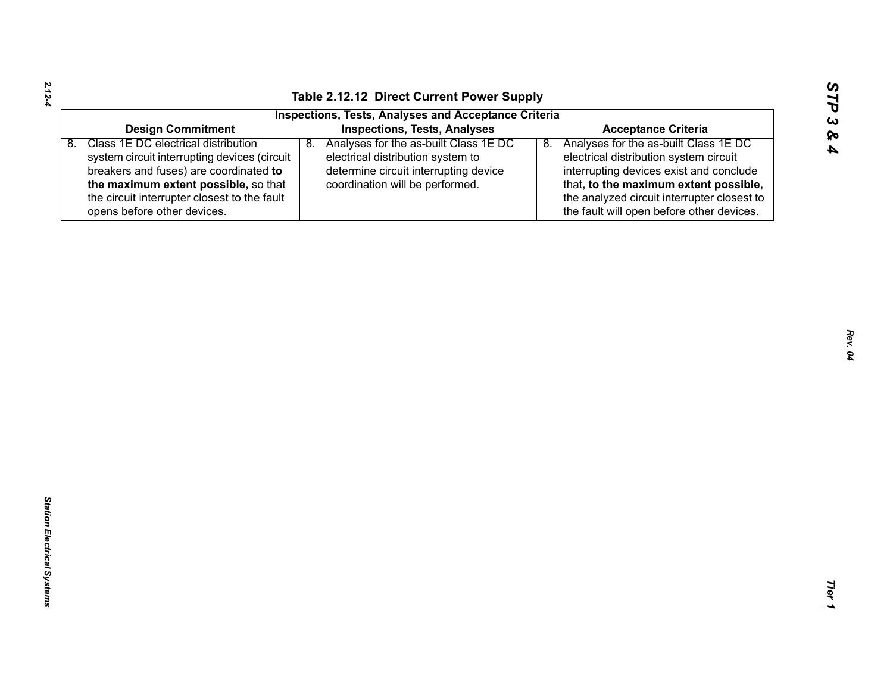| n  |
|----|
| دے |
| ∞  |
| ≏  |

| <b>Inspections, Tests, Analyses and Acceptance Criteria</b><br><b>Inspections, Tests, Analyses</b><br><b>Design Commitment</b><br><b>Acceptance Criteria</b><br>Class 1E DC electrical distribution<br>Analyses for the as-built Class 1E DC<br>Analyses for the as-built Class 1E DC<br>8.<br>8.<br>8.<br>electrical distribution system circuit<br>system circuit interrupting devices (circuit<br>electrical distribution system to<br>determine circuit interrupting device<br>interrupting devices exist and conclude<br>breakers and fuses) are coordinated to<br>the maximum extent possible, so that<br>coordination will be performed.<br>that, to the maximum extent possible,<br>the circuit interrupter closest to the fault<br>the analyzed circuit interrupter closest to<br>the fault will open before other devices.<br>opens before other devices. |
|---------------------------------------------------------------------------------------------------------------------------------------------------------------------------------------------------------------------------------------------------------------------------------------------------------------------------------------------------------------------------------------------------------------------------------------------------------------------------------------------------------------------------------------------------------------------------------------------------------------------------------------------------------------------------------------------------------------------------------------------------------------------------------------------------------------------------------------------------------------------|
|                                                                                                                                                                                                                                                                                                                                                                                                                                                                                                                                                                                                                                                                                                                                                                                                                                                                     |
|                                                                                                                                                                                                                                                                                                                                                                                                                                                                                                                                                                                                                                                                                                                                                                                                                                                                     |
|                                                                                                                                                                                                                                                                                                                                                                                                                                                                                                                                                                                                                                                                                                                                                                                                                                                                     |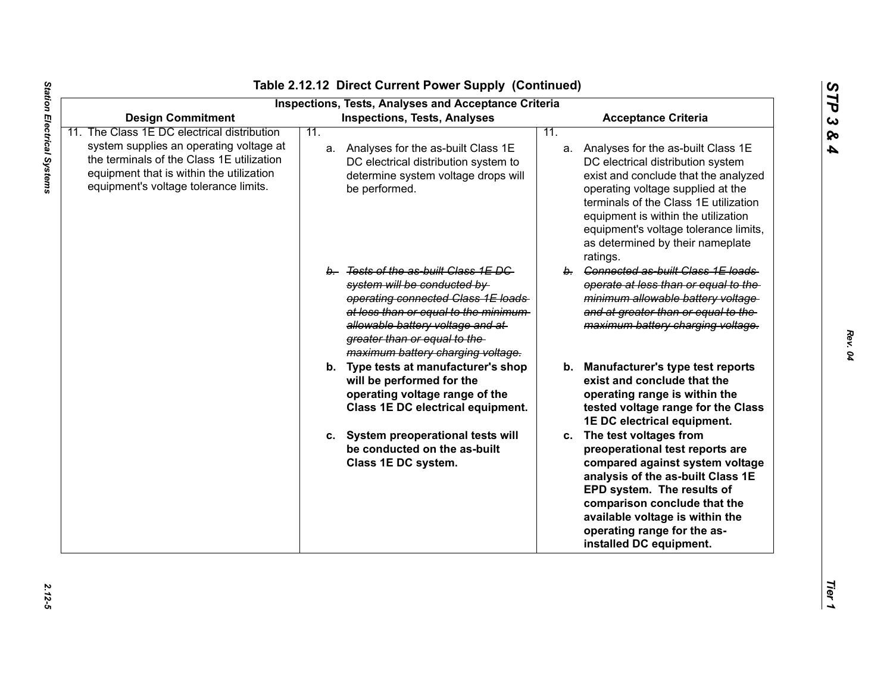| ທ |
|---|
|   |
| г |
| ພ |
| ჯ |
| ₳ |

| <b>Inspections, Tests, Analyses and Acceptance Criteria</b><br><b>Inspections, Tests, Analyses</b><br><b>Design Commitment</b>                                            |     |                                                                                                                                                                                                                                                              | <b>Acceptance Criteria</b> |                                                                                                                                                                                                                                                                                                                                  |
|---------------------------------------------------------------------------------------------------------------------------------------------------------------------------|-----|--------------------------------------------------------------------------------------------------------------------------------------------------------------------------------------------------------------------------------------------------------------|----------------------------|----------------------------------------------------------------------------------------------------------------------------------------------------------------------------------------------------------------------------------------------------------------------------------------------------------------------------------|
| The Class 1E DC electrical distribution                                                                                                                                   | 11. |                                                                                                                                                                                                                                                              | 11.                        |                                                                                                                                                                                                                                                                                                                                  |
| system supplies an operating voltage at<br>the terminals of the Class 1E utilization<br>equipment that is within the utilization<br>equipment's voltage tolerance limits. |     | a. Analyses for the as-built Class 1E<br>DC electrical distribution system to<br>determine system voltage drops will<br>be performed.                                                                                                                        |                            | a. Analyses for the as-built Class 1E<br>DC electrical distribution system<br>exist and conclude that the analyzed<br>operating voltage supplied at the<br>terminals of the Class 1E utilization<br>equipment is within the utilization<br>equipment's voltage tolerance limits,<br>as determined by their nameplate<br>ratings. |
|                                                                                                                                                                           |     | b. Tests of the as-built Class 1E DC<br>system will be conducted by<br>operating connected Class 1E loads<br>at less than or equal to the minimum-<br>allowable battery voltage and at-<br>greater than or equal to the<br>maximum battery charging voltage. |                            | b. Connected as-built Class 1E loads<br>operate at less than or equal to the<br>minimum allowable battery voltage<br>and at greater than or equal to the<br>maximum battery charging voltage.                                                                                                                                    |
|                                                                                                                                                                           |     | b. Type tests at manufacturer's shop<br>will be performed for the<br>operating voltage range of the<br>Class 1E DC electrical equipment.                                                                                                                     |                            | b. Manufacturer's type test reports<br>exist and conclude that the<br>operating range is within the<br>tested voltage range for the Class<br>1E DC electrical equipment.                                                                                                                                                         |
|                                                                                                                                                                           |     | c. System preoperational tests will<br>be conducted on the as-built<br>Class 1E DC system.                                                                                                                                                                   |                            | c. The test voltages from<br>preoperational test reports are<br>compared against system voltage<br>analysis of the as-built Class 1E<br>EPD system. The results of<br>comparison conclude that the<br>available voltage is within the<br>operating range for the as-<br>installed DC equipment.                                  |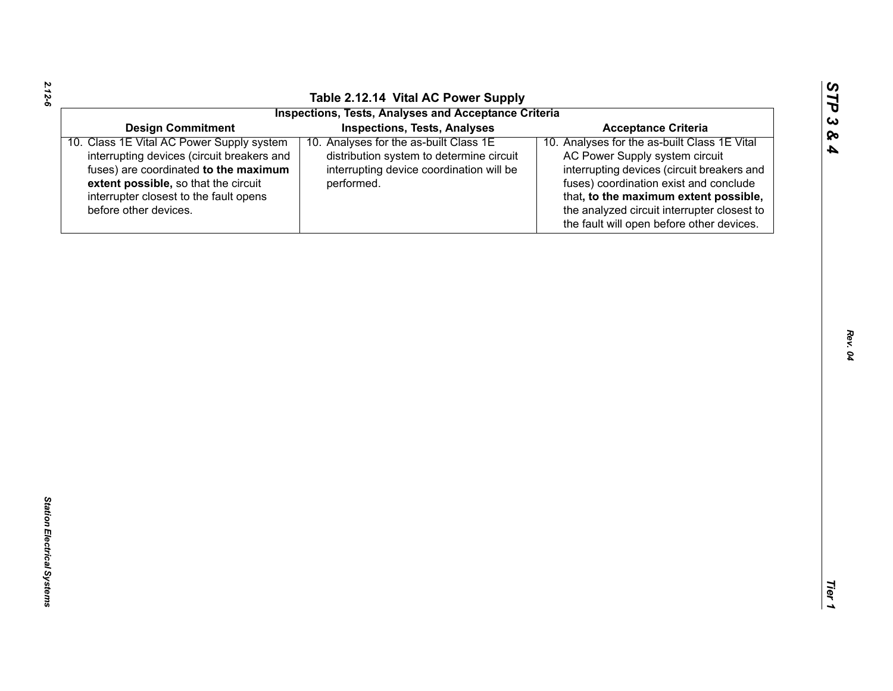| ທ       |
|---------|
| ⊣       |
| c.<br>ళ |
| P       |
|         |

| <b>Inspections, Tests, Analyses and Acceptance Criteria</b>                            |                                              |
|----------------------------------------------------------------------------------------|----------------------------------------------|
| <b>Design Commitment</b><br><b>Inspections, Tests, Analyses</b>                        | <b>Acceptance Criteria</b>                   |
| 10. Analyses for the as-built Class 1E<br>10. Class 1E Vital AC Power Supply system    | 10. Analyses for the as-built Class 1E Vital |
| interrupting devices (circuit breakers and<br>distribution system to determine circuit | AC Power Supply system circuit               |
| fuses) are coordinated to the maximum<br>interrupting device coordination will be      | interrupting devices (circuit breakers and   |
| extent possible, so that the circuit<br>performed.                                     | fuses) coordination exist and conclude       |
| interrupter closest to the fault opens                                                 | that, to the maximum extent possible,        |
|                                                                                        | the analyzed circuit interrupter closest to  |
|                                                                                        | the fault will open before other devices.    |
|                                                                                        |                                              |
|                                                                                        |                                              |
|                                                                                        |                                              |
|                                                                                        |                                              |
|                                                                                        |                                              |
|                                                                                        |                                              |
|                                                                                        |                                              |
|                                                                                        |                                              |
|                                                                                        |                                              |
|                                                                                        |                                              |

*2.12-6*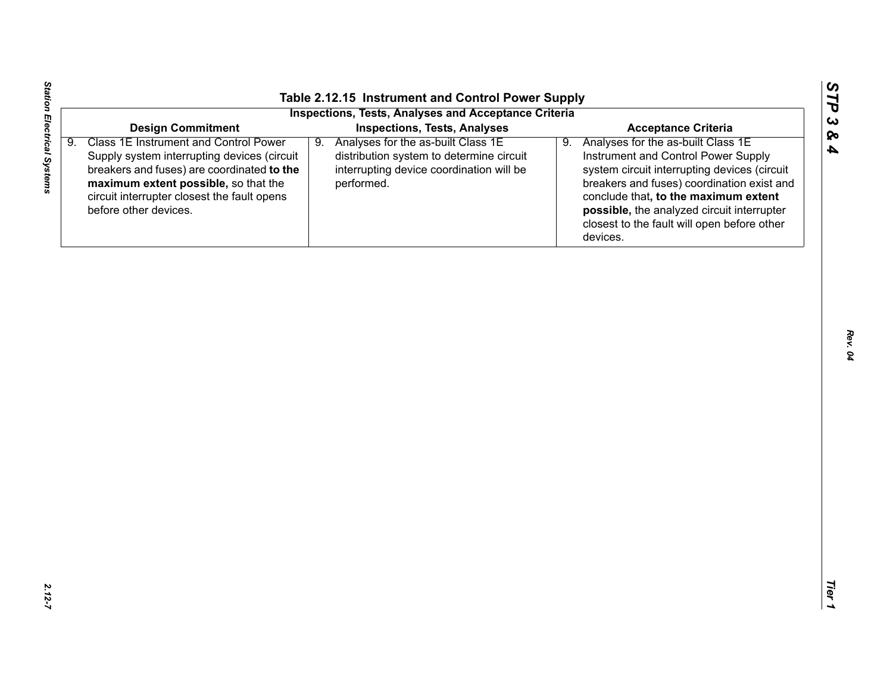| <b>Inspections, Tests, Analyses</b><br>Analyses for the as-built Class 1E<br>9.                    | <b>Acceptance Criteria</b>                                                                                                                                                                                                                                                                                                     |
|----------------------------------------------------------------------------------------------------|--------------------------------------------------------------------------------------------------------------------------------------------------------------------------------------------------------------------------------------------------------------------------------------------------------------------------------|
|                                                                                                    |                                                                                                                                                                                                                                                                                                                                |
| distribution system to determine circuit<br>interrupting device coordination will be<br>performed. | Analyses for the as-built Class 1E<br>9.<br>Instrument and Control Power Supply<br>system circuit interrupting devices (circuit<br>breakers and fuses) coordination exist and<br>conclude that, to the maximum extent<br>possible, the analyzed circuit interrupter<br>closest to the fault will open before other<br>devices. |
|                                                                                                    |                                                                                                                                                                                                                                                                                                                                |
|                                                                                                    |                                                                                                                                                                                                                                                                                                                                |
|                                                                                                    |                                                                                                                                                                                                                                                                                                                                |
|                                                                                                    |                                                                                                                                                                                                                                                                                                                                |
|                                                                                                    |                                                                                                                                                                                                                                                                                                                                |
|                                                                                                    |                                                                                                                                                                                                                                                                                                                                |
|                                                                                                    |                                                                                                                                                                                                                                                                                                                                |
|                                                                                                    |                                                                                                                                                                                                                                                                                                                                |
|                                                                                                    |                                                                                                                                                                                                                                                                                                                                |
|                                                                                                    |                                                                                                                                                                                                                                                                                                                                |

*STP 3 & 4*